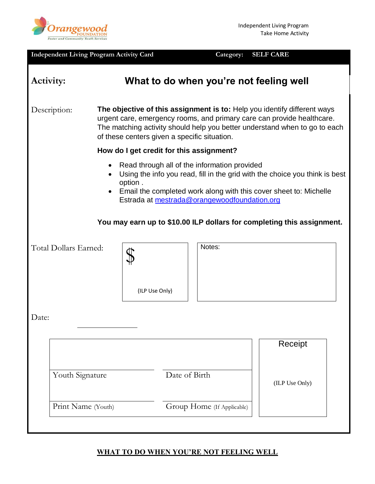

|                                                              | <b>Independent Living Program Activity Card</b> |                      |                | Category:<br><b>SELF CARE</b>                                                                          |                                                                                                                                                                                                                                  |  |
|--------------------------------------------------------------|-------------------------------------------------|----------------------|----------------|--------------------------------------------------------------------------------------------------------|----------------------------------------------------------------------------------------------------------------------------------------------------------------------------------------------------------------------------------|--|
| Activity:                                                    |                                                 |                      |                | What to do when you're not feeling well                                                                |                                                                                                                                                                                                                                  |  |
| Description:<br>of these centers given a specific situation. |                                                 |                      |                |                                                                                                        | The objective of this assignment is to: Help you identify different ways<br>urgent care, emergency rooms, and primary care can provide healthcare.<br>The matching activity should help you better understand when to go to each |  |
| How do I get credit for this assignment?                     |                                                 |                      |                |                                                                                                        |                                                                                                                                                                                                                                  |  |
|                                                              | Total Dollars Earned:                           | $\bullet$<br>option. |                | Read through all of the information provided<br>Estrada at mestrada@orangewoodfoundation.org<br>Notes: | Using the info you read, fill in the grid with the choice you think is best<br>Email the completed work along with this cover sheet to: Michelle<br>You may earn up to \$10.00 ILP dollars for completing this assignment.       |  |
|                                                              |                                                 |                      | (ILP Use Only) |                                                                                                        |                                                                                                                                                                                                                                  |  |
| Date:                                                        |                                                 |                      |                |                                                                                                        |                                                                                                                                                                                                                                  |  |
|                                                              |                                                 |                      |                |                                                                                                        | Receipt                                                                                                                                                                                                                          |  |
| Youth Signature                                              |                                                 |                      | Date of Birth  |                                                                                                        | (ILP Use Only)                                                                                                                                                                                                                   |  |
|                                                              | Print Name (Youth)                              |                      |                | Group Home (If Applicable)                                                                             |                                                                                                                                                                                                                                  |  |

# **WHAT TO DO WHEN YOU'RE NOT FEELING WELL**